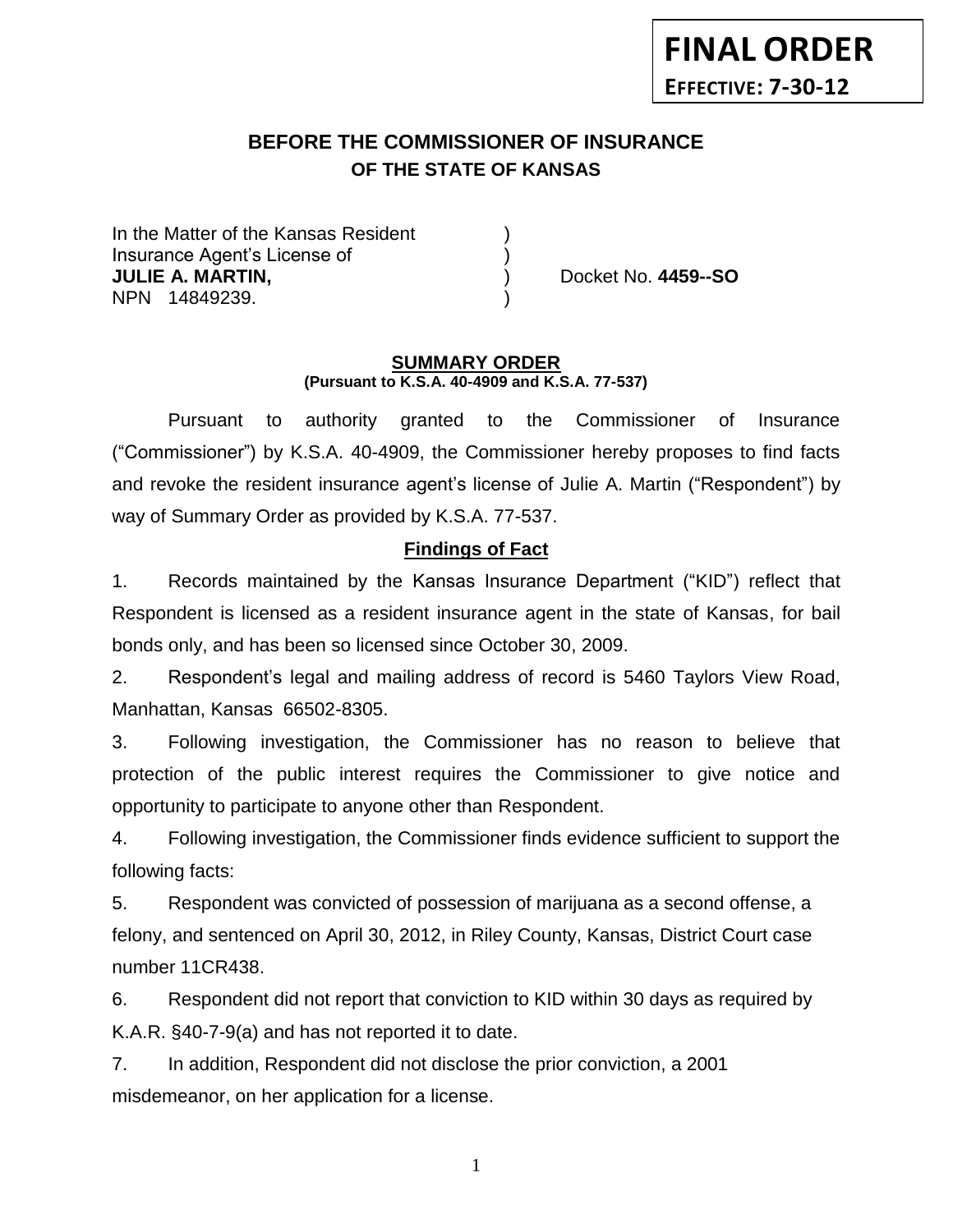# **BEFORE THE COMMISSIONER OF INSURANCE OF THE STATE OF KANSAS**

In the Matter of the Kansas Resident Insurance Agent's License of ) **JULIE A. MARTIN,** ) Docket No. **4459--SO** NPN 14849239.

#### **SUMMARY ORDER (Pursuant to K.S.A. 40-4909 and K.S.A. 77-537)**

Pursuant to authority granted to the Commissioner of Insurance ("Commissioner") by K.S.A. 40-4909, the Commissioner hereby proposes to find facts and revoke the resident insurance agent's license of Julie A. Martin ("Respondent") by way of Summary Order as provided by K.S.A. 77-537.

## **Findings of Fact**

1. Records maintained by the Kansas Insurance Department ("KID") reflect that Respondent is licensed as a resident insurance agent in the state of Kansas, for bail bonds only, and has been so licensed since October 30, 2009.

2. Respondent's legal and mailing address of record is 5460 Taylors View Road, Manhattan, Kansas 66502-8305.

3. Following investigation, the Commissioner has no reason to believe that protection of the public interest requires the Commissioner to give notice and opportunity to participate to anyone other than Respondent.

4. Following investigation, the Commissioner finds evidence sufficient to support the following facts:

5. Respondent was convicted of possession of marijuana as a second offense, a felony, and sentenced on April 30, 2012, in Riley County, Kansas, District Court case number 11CR438.

6. Respondent did not report that conviction to KID within 30 days as required by K.A.R. §40-7-9(a) and has not reported it to date.

7. In addition, Respondent did not disclose the prior conviction, a 2001 misdemeanor, on her application for a license.

1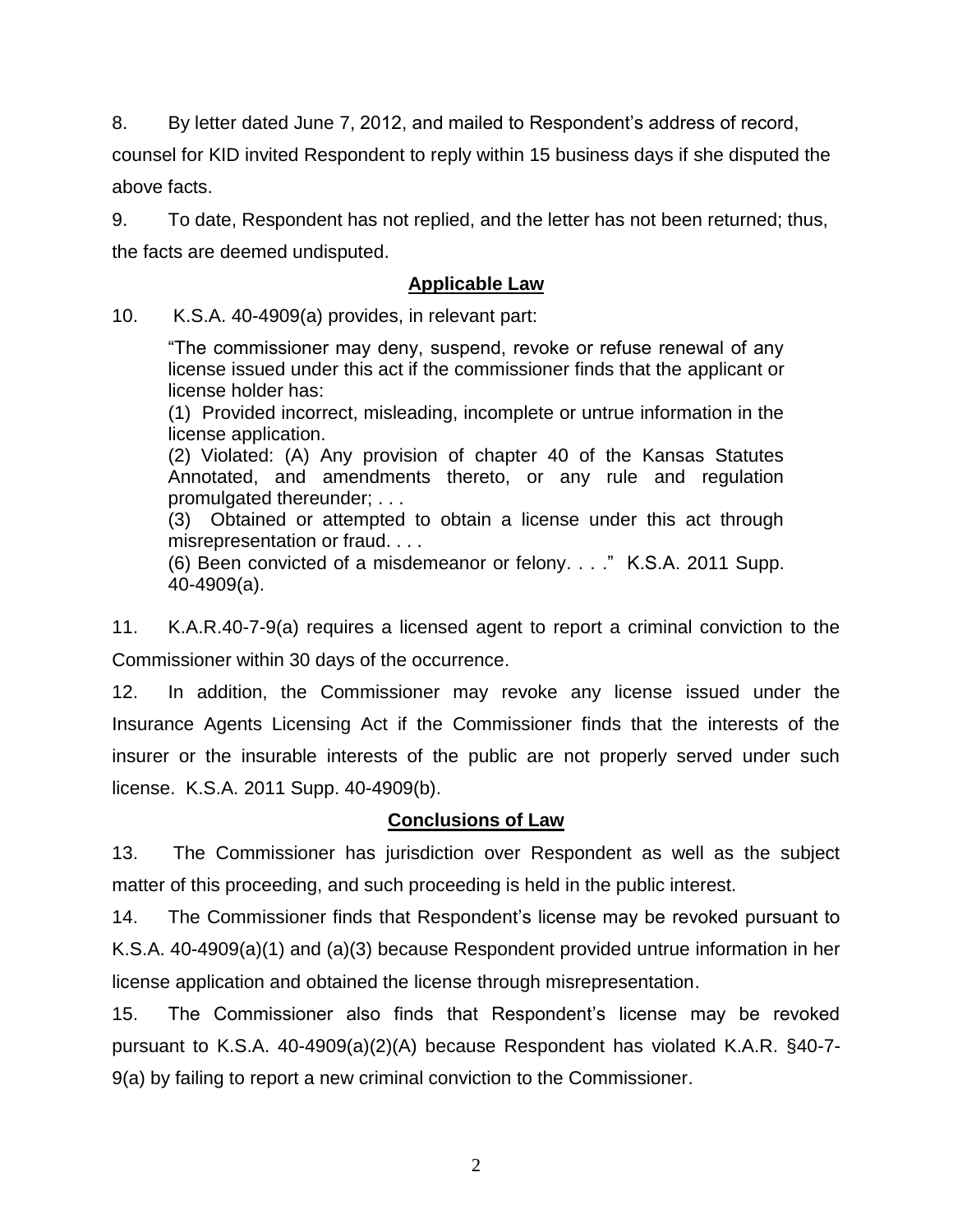8. By letter dated June 7, 2012, and mailed to Respondent's address of record,

counsel for KID invited Respondent to reply within 15 business days if she disputed the above facts.

9. To date, Respondent has not replied, and the letter has not been returned; thus, the facts are deemed undisputed.

### **Applicable Law**

10. K.S.A. 40-4909(a) provides, in relevant part:

"The commissioner may deny, suspend, revoke or refuse renewal of any license issued under this act if the commissioner finds that the applicant or license holder has:

(1) Provided incorrect, misleading, incomplete or untrue information in the license application.

(2) Violated: (A) Any provision of chapter 40 of the Kansas Statutes Annotated, and amendments thereto, or any rule and regulation promulgated thereunder; . . .

(3) Obtained or attempted to obtain a license under this act through misrepresentation or fraud. . . .

(6) Been convicted of a misdemeanor or felony. . . ." K.S.A. 2011 Supp. 40-4909(a).

11. K.A.R.40-7-9(a) requires a licensed agent to report a criminal conviction to the Commissioner within 30 days of the occurrence.

12. In addition, the Commissioner may revoke any license issued under the Insurance Agents Licensing Act if the Commissioner finds that the interests of the insurer or the insurable interests of the public are not properly served under such license. K.S.A. 2011 Supp. 40-4909(b).

## **Conclusions of Law**

13. The Commissioner has jurisdiction over Respondent as well as the subject matter of this proceeding, and such proceeding is held in the public interest.

14. The Commissioner finds that Respondent's license may be revoked pursuant to K.S.A. 40-4909(a)(1) and (a)(3) because Respondent provided untrue information in her license application and obtained the license through misrepresentation.

15. The Commissioner also finds that Respondent's license may be revoked pursuant to K.S.A. 40-4909(a)(2)(A) because Respondent has violated K.A.R. §40-7- 9(a) by failing to report a new criminal conviction to the Commissioner.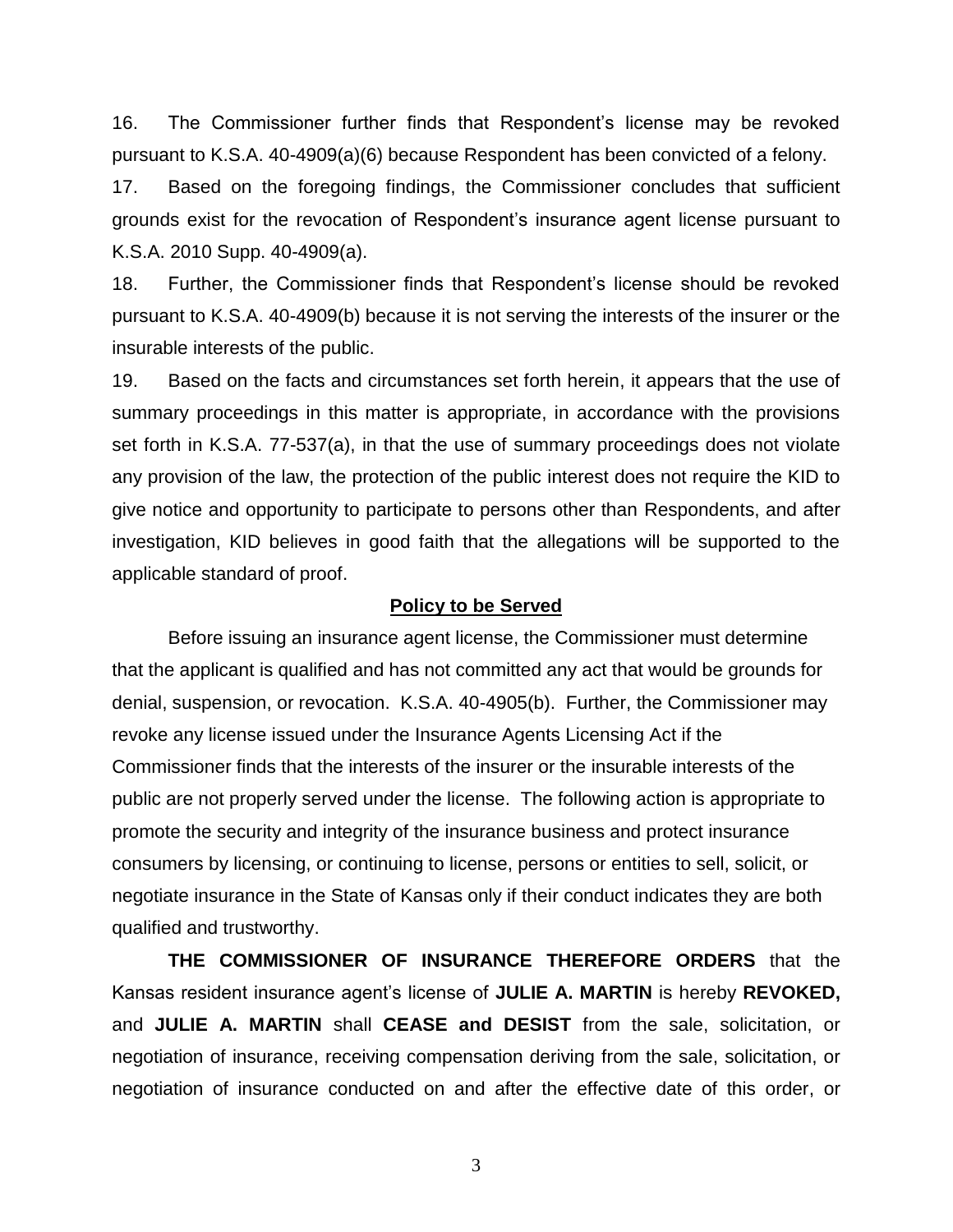16. The Commissioner further finds that Respondent's license may be revoked pursuant to K.S.A. 40-4909(a)(6) because Respondent has been convicted of a felony.

17. Based on the foregoing findings, the Commissioner concludes that sufficient grounds exist for the revocation of Respondent's insurance agent license pursuant to K.S.A. 2010 Supp. 40-4909(a).

18. Further, the Commissioner finds that Respondent's license should be revoked pursuant to K.S.A. 40-4909(b) because it is not serving the interests of the insurer or the insurable interests of the public.

19. Based on the facts and circumstances set forth herein, it appears that the use of summary proceedings in this matter is appropriate, in accordance with the provisions set forth in K.S.A. 77-537(a), in that the use of summary proceedings does not violate any provision of the law, the protection of the public interest does not require the KID to give notice and opportunity to participate to persons other than Respondents, and after investigation, KID believes in good faith that the allegations will be supported to the applicable standard of proof.

#### **Policy to be Served**

Before issuing an insurance agent license, the Commissioner must determine that the applicant is qualified and has not committed any act that would be grounds for denial, suspension, or revocation. K.S.A. 40-4905(b). Further, the Commissioner may revoke any license issued under the Insurance Agents Licensing Act if the Commissioner finds that the interests of the insurer or the insurable interests of the public are not properly served under the license. The following action is appropriate to promote the security and integrity of the insurance business and protect insurance consumers by licensing, or continuing to license, persons or entities to sell, solicit, or negotiate insurance in the State of Kansas only if their conduct indicates they are both qualified and trustworthy.

**THE COMMISSIONER OF INSURANCE THEREFORE ORDERS** that the Kansas resident insurance agent's license of **JULIE A. MARTIN** is hereby **REVOKED,**  and **JULIE A. MARTIN** shall **CEASE and DESIST** from the sale, solicitation, or negotiation of insurance, receiving compensation deriving from the sale, solicitation, or negotiation of insurance conducted on and after the effective date of this order, or

3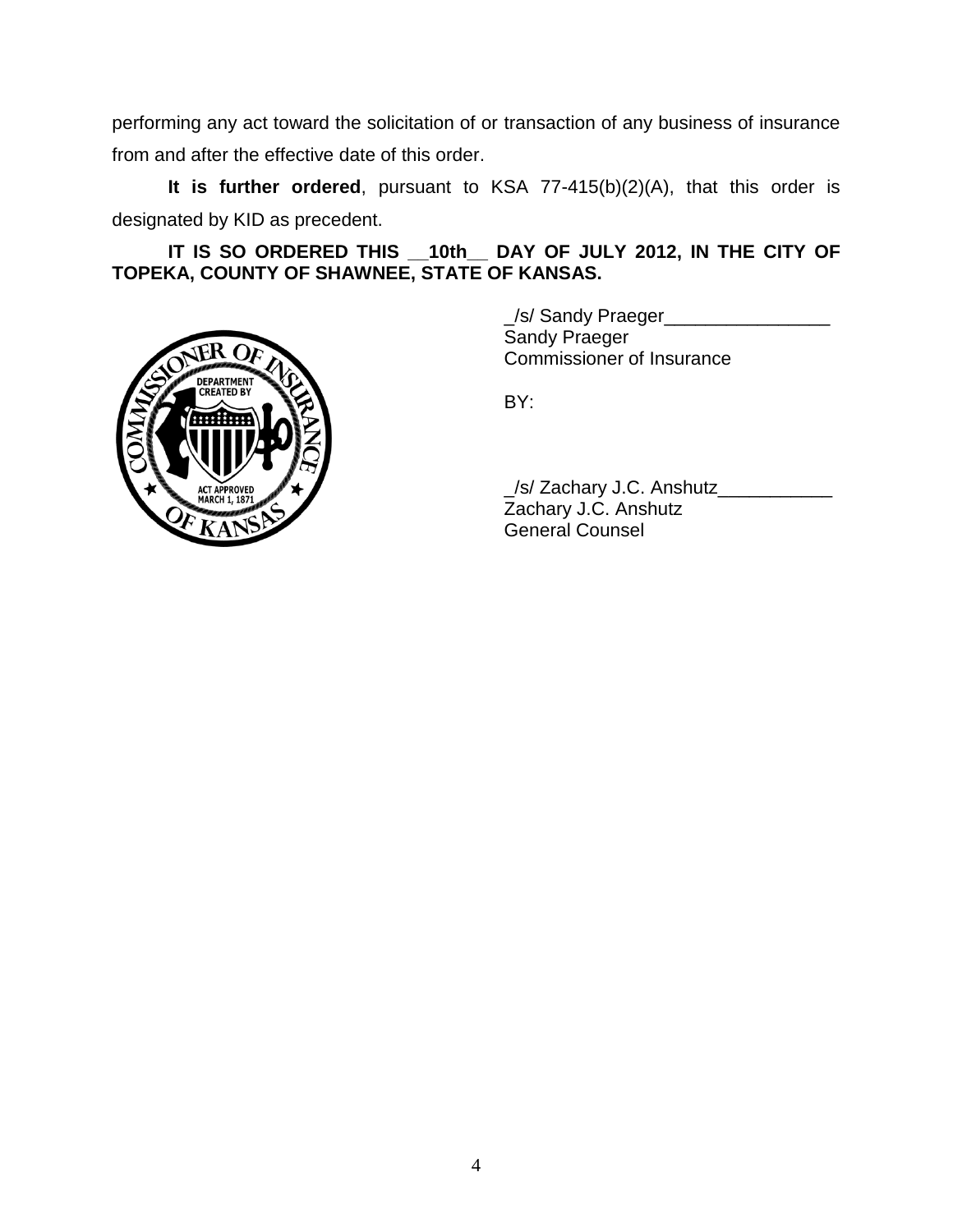performing any act toward the solicitation of or transaction of any business of insurance from and after the effective date of this order.

**It is further ordered**, pursuant to KSA 77-415(b)(2)(A), that this order is designated by KID as precedent.

**IT IS SO ORDERED THIS \_\_10th\_\_ DAY OF JULY 2012, IN THE CITY OF TOPEKA, COUNTY OF SHAWNEE, STATE OF KANSAS.**



\_/s/ Sandy Praeger\_\_\_\_\_\_\_\_\_\_\_\_\_\_\_\_ Sandy Praeger Commissioner of Insurance

BY:

\_/s/ Zachary J.C. Anshutz\_\_\_\_\_\_\_\_\_\_\_ Zachary J.C. Anshutz General Counsel